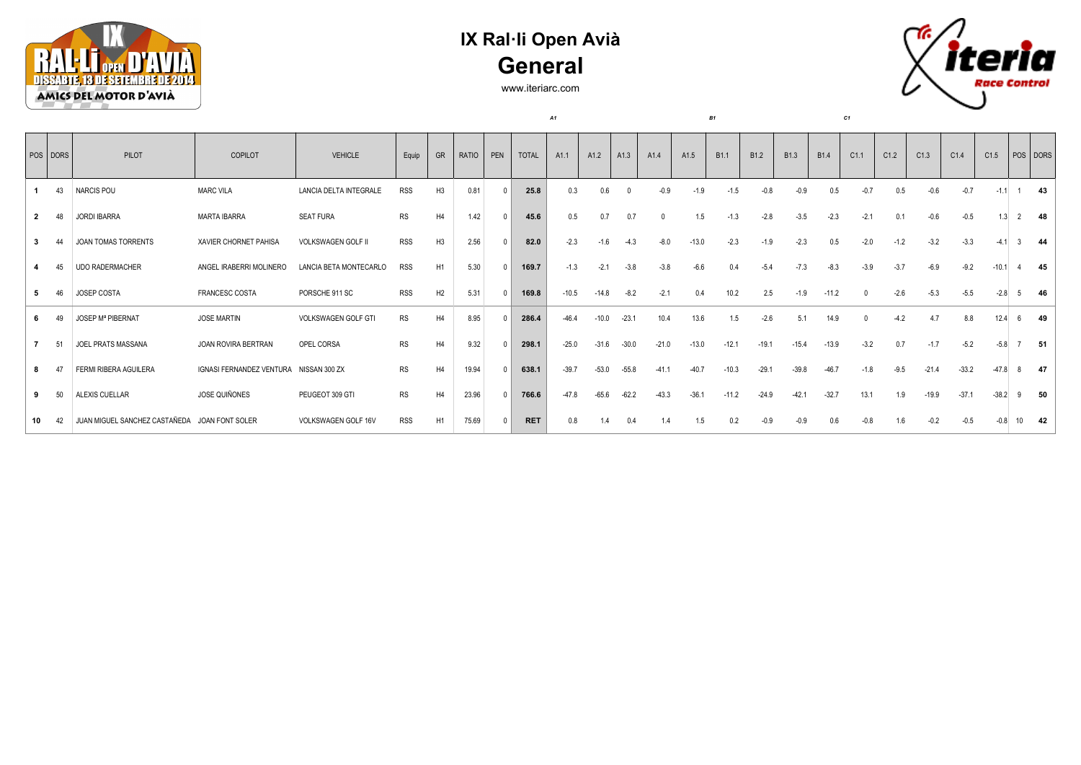

## **IX Ral·li Open Avià General**

www.iteriarc.com

*A1 B1 C1*



|    | $ pos $ DORS   | PILOT                         | COPILOT                                | <b>VEHICLE</b>             | Equip      | GR             | RATIO | PEN | <b>TOTAL</b> | A <sub>1.1</sub> | A1.2    | A1.3    | A <sub>1.4</sub> | A1.5    | B <sub>1.1</sub> | <b>B1.2</b> | <b>B1.3</b> | B <sub>1.4</sub> | C1.1   | C1.2   | C1.3    | C1.4    | C1.5    |    | POS DORS |
|----|----------------|-------------------------------|----------------------------------------|----------------------------|------------|----------------|-------|-----|--------------|------------------|---------|---------|------------------|---------|------------------|-------------|-------------|------------------|--------|--------|---------|---------|---------|----|----------|
|    | 43             | <b>NARCIS POU</b>             | <b>MARC VILA</b>                       | LANCIA DELTA INTEGRALE     | <b>RSS</b> | H <sub>3</sub> | 0.81  |     | 25.8         | 0.3              | 0.6     |         | $-0.9$           | $-1.9$  | $-1.5$           |             |             | 0.5              | -0.7   | 0.5    | -0.6    | $-0.7$  | $-1.1$  |    | -43      |
|    | 48             | <b>JORDI IBARRA</b>           | <b>MARTA IBARRA</b>                    | <b>SEAT FURA</b>           | <b>RS</b>  | H4             | 1.42  |     | 45.6         | 0.5              | 0.7     | 0.7     |                  | 1.5     | $-1.3$           | $-2.8$      | $-3.5$      | $-2.3$           | $-2.1$ | 0.1    | $-0.6$  | $-0.5$  | 1.3     |    | -48      |
| 3  | $\Delta\Delta$ | JOAN TOMAS TORRENTS           | XAVIER CHORNET PAHISA                  | VOLKSWAGEN GOLF II         | <b>RSS</b> | H3             | 2.56  |     | 82.0         | $-2.3$           | $-1.6$  | $-4.3$  | $-8.0$           | $-13.0$ | $-2.3$           | $-1.9$      | $-2.3$      | 0.5              | $-2.0$ | $-1.2$ | $-3.2$  | $-3.3$  | $-4.1$  |    | 44       |
|    | 45             | <b>UDO RADERMACHER</b>        | ANGEL IRABERRI MOLINERO                | LANCIA BETA MONTECARLO     | <b>RSS</b> | H <sub>1</sub> | 5.30  |     | 169.7        | $-1.3$           | $-2.1$  | $-3.8$  | $-3.8$           | $-6.6$  | 0.4              | $-5.4$      | $-7.3$      | $-8.3$           | $-3.9$ | $-3.7$ | $-6.9$  | $-9.2$  | $-10.1$ |    | 45       |
| 5  | 46             | <b>JOSEP COSTA</b>            | FRANCESC COSTA                         | PORSCHE 911 SC             | <b>RSS</b> | H2             | 5.31  |     | 169.8        | $-10.5$          | $-14.8$ | $-8.2$  | $-2.1$           |         | 10.2             | 2.5         | $-1.9$      | $-11.2$          |        | $-2.6$ | $-5.3$  | $-5.5$  | $-2.8$  |    | 46       |
|    |                | <b>JOSEP Mª PIBERNAT</b>      | <b>JOSE MARTIN</b>                     | <b>VOLKSWAGEN GOLF GTI</b> | <b>RS</b>  | H4             | 8.95  |     | 286.4        | $-46.4$          | $-10.0$ | $-23.1$ | 10.4             | 13.6    | 1.5              | $-2.6$      | 5.1         | 14.9             |        | $-4.2$ | 4.7     | 8.8     | 12.4    |    | 49       |
|    | 51             | JOEL PRATS MASSANA            | JOAN ROVIRA BERTRAN                    | OPEL CORSA                 | <b>RS</b>  | H4             | 9.32  |     | 298.1        | $-25.0$          | $-31.6$ | $-30.0$ | $-21.0$          | $-13.0$ | $-12.1$          | $-19.1$     | $-15.4$     | $-13.9$          | $-3.2$ | 0.7    | $-1.7$  | $-5.2$  | $-5.8$  |    | -51      |
|    | 47             | FERMI RIBERA AGUILERA         | IGNASI FERNANDEZ VENTURA NISSAN 300 ZX |                            | <b>RS</b>  | H4             | 19.94 |     | 638.1        | $-39.7$          | $-53.0$ | $-55.8$ | $-41.1$          | $-40.7$ | $-10.3$          | $-29.1$     | $-39.8$     | $-46.7$          | $-1.8$ | $-9.5$ | $-21.4$ | $-33.2$ |         |    | -47      |
| 9  | 50             | ALEXIS CUELLAR                | <b>JOSE QUIÑONES</b>                   | PEUGEOT 309 GTI            | <b>RS</b>  | H4             | 23.96 |     | 766.6        | $-47.8$          |         |         | $-43.3$          | $-36.1$ | $-11.2$          | $-24.9$     | $-42.1$     | $-32.7$          | 13.1   | 1.9    | $-19.9$ | $-37.1$ | $-38.2$ |    | 50       |
| 10 | 42             | JUAN MIGUEL SANCHEZ CASTAÑEDA | JOAN FONT SOLER                        | VOLKSWAGEN GOLF 16V        | <b>RSS</b> | H <sub>1</sub> | 75.69 |     | <b>RET</b>   | 0.8              | 1.4     | 0.4     | 1.4              | 1.5     | 0.2              |             |             | 0.6              | $-0.8$ | 1.6    | $-0.2$  | $-0.5$  | $-0.8$  | 10 | - 42     |